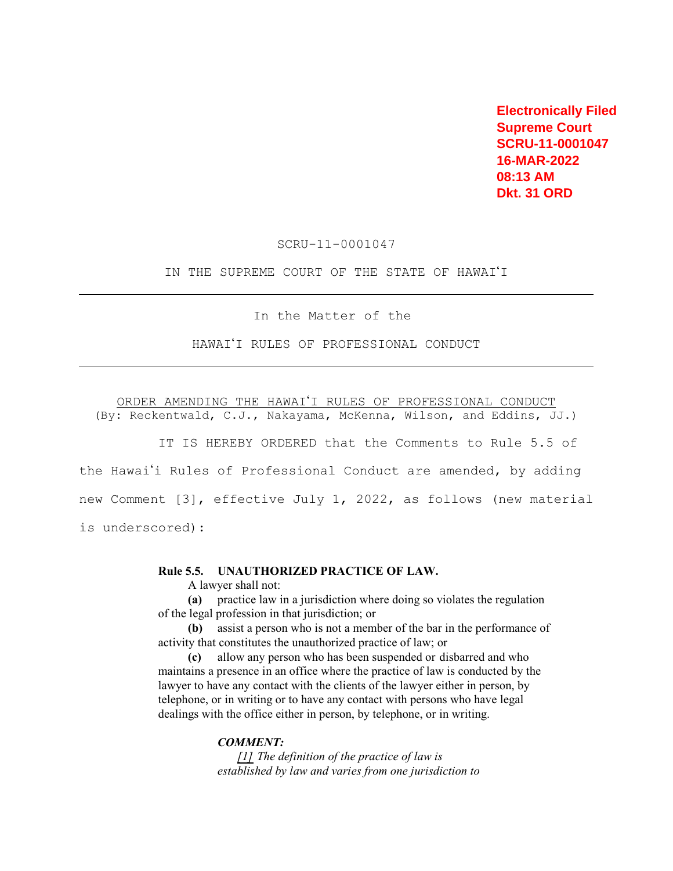**Electronically Filed Supreme Court SCRU-11-0001047 16-MAR-2022 08:13 AM Dkt. 31 ORD** 

SCRU-11-0001047

IN THE SUPREME COURT OF THE STATE OF HAWAI'I

In the Matter of the

HAWAI'I RULES OF PROFESSIONAL CONDUCT

ORDER AMENDING THE HAWAI'I RULES OF PROFESSIONAL CONDUCT (By: Reckentwald, C.J., Nakayama, McKenna, Wilson, and Eddins, JJ.)

IT IS HEREBY ORDERED that the Comments to Rule 5.5 of the Hawai'i Rules of Professional Conduct are amended, by adding new Comment [3], effective July 1, 2022, as follows (new material is underscored):

## **Rule 5.5. UNAUTHORIZED PRACTICE OF LAW.**

A lawyer shall not:

**(a)** practice law in a jurisdiction where doing so violates the regulation of the legal profession in that jurisdiction; or

**(b)** assist a person who is not a member of the bar in the performance of activity that constitutes the unauthorized practice of law; or

**(c)** allow any person who has been suspended or disbarred and who maintains a presence in an office where the practice of law is conducted by the lawyer to have any contact with the clients of the lawyer either in person, by telephone, or in writing or to have any contact with persons who have legal dealings with the office either in person, by telephone, or in writing.

## *COMMENT:*

*[1] The definition of the practice of law is established by law and varies from one jurisdiction to*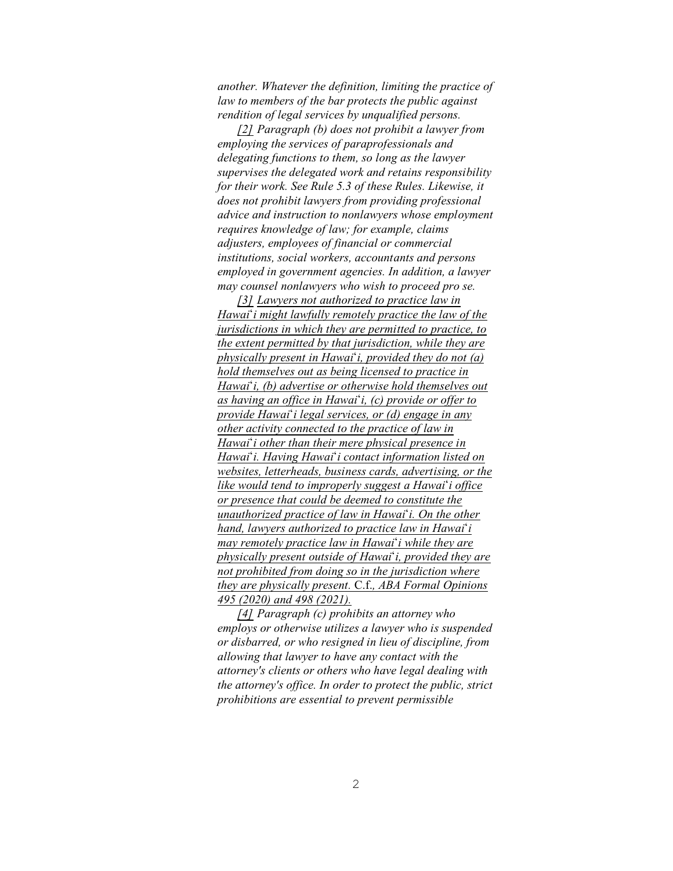*another. Whatever the definition, limiting the practice of law to members of the bar protects the public against rendition of legal services by unqualified persons.* 

*[2] Paragraph (b) does not prohibit a lawyer from employing the services of paraprofessionals and delegating functions to them, so long as the lawyer supervises the delegated work and retains responsibility for their work. See Rule 5.3 of these Rules. Likewise, it does not prohibit lawyers from providing professional advice and instruction to nonlawyers whose employment requires knowledge of law; for example, claims adjusters, employees of financial or commercial institutions, social workers, accountants and persons employed in government agencies. In addition, a lawyer may counsel nonlawyers who wish to proceed pro se.* 

*[3] Lawyers not authorized to practice law in Hawai*<sup>\*</sup>*i* might lawfully remotely practice the law of the *jurisdictions in which they are permitted to practice, to the extent permitted by that jurisdiction, while they are physically present in Hawai#i, provided they do not (a) hold themselves out as being licensed to practice in Hawai#i, (b) advertise or otherwise hold themselves out as having an office in Hawai#i, (c) provide or offer to provide Hawai#i legal services, or (d) engage in any other activity connected to the practice of law in Hawai#i other than their mere physical presence in Hawai#i. Having Hawai#i contact information listed on websites, letterheads, business cards, advertising, or the like would tend to improperly suggest a Hawai<sup><i>'*</sup>i office</sup> *or presence that could be deemed to constitute the unauthorized practice of law in Hawai*<sup>\*</sup>*i. On the other hand, lawyers authorized to practice law in Hawai<sup><i>'i*</sup> *may remotely practice law in Hawai*<sup>\*</sup>*i while they are physically present outside of Hawai<sup><i>'*</sup>**i**, provided they are *not prohibited from doing so in the jurisdiction where they are physically present.* C.f.*, ABA Formal Opinions 495 (2020) and 498 (2021).* 

*[4] Paragraph (c) prohibits an attorney who employs or otherwise utilizes a lawyer who is suspended or disbarred, or who resigned in lieu of discipline, from allowing that lawyer to have any contact with the attorney's clients or others who have legal dealing with the attorney's office. In order to protect the public, strict prohibitions are essential to prevent permissible*